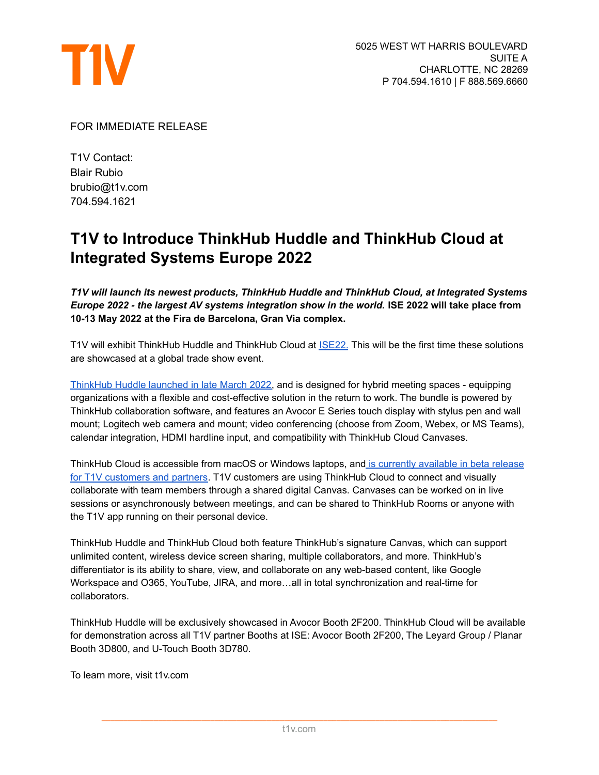

FOR IMMEDIATE RELEASE

T1V Contact: Blair Rubio brubio@t1v.com 704.594.1621

## **T1V to Introduce ThinkHub Huddle and ThinkHub Cloud at Integrated Systems Europe 2022**

*T1V will launch its newest products, ThinkHub Huddle and ThinkHub Cloud, at Integrated Systems Europe 2022 - the largest AV systems integration show in the world.* **ISE 2022 will take place from 10-13 May 2022 at the Fira de Barcelona, Gran Via complex.**

T1V will exhibit ThinkHub Huddle and ThinkHub Cloud at [ISE22.](https://www.iseurope.org/) This will be the first time these solutions are showcased at a global trade show event.

[ThinkHub](https://www.t1v.com/hubfs/Press%20Releases/Introducing%20ThinkHub%20Huddle%20For%20Hybrid%20Collaboration%20Spaces.pdf) Huddle launched in late March 2022, and is designed for hybrid meeting spaces - equipping organizations with a flexible and cost-effective solution in the return to work. The bundle is powered by ThinkHub collaboration software, and features an Avocor E Series touch display with stylus pen and wall mount; Logitech web camera and mount; video conferencing (choose from Zoom, Webex, or MS Teams), calendar integration, HDMI hardline input, and compatibility with ThinkHub Cloud Canvases.

ThinkHub Cloud is accessible from macOS or Windows laptops, and is currently [available](https://www.t1v.com/hubfs/Press%20Releases/T1V%20Launches%20ThinkHub%20Cloud%20Beta%20for%20Customers%20+%20Partners.pdf) in beta release for T1V [customers](https://www.t1v.com/hubfs/Press%20Releases/T1V%20Launches%20ThinkHub%20Cloud%20Beta%20for%20Customers%20+%20Partners.pdf) and partners. T1V customers are using ThinkHub Cloud to connect and visually collaborate with team members through a shared digital Canvas. Canvases can be worked on in live sessions or asynchronously between meetings, and can be shared to ThinkHub Rooms or anyone with the T1V app running on their personal device.

ThinkHub Huddle and ThinkHub Cloud both feature ThinkHub's signature Canvas, which can support unlimited content, wireless device screen sharing, multiple collaborators, and more. ThinkHub's differentiator is its ability to share, view, and collaborate on any web-based content, like Google Workspace and O365, YouTube, JIRA, and more…all in total synchronization and real-time for collaborators.

ThinkHub Huddle will be exclusively showcased in Avocor Booth 2F200. ThinkHub Cloud will be available for demonstration across all T1V partner Booths at ISE: Avocor Booth 2F200, The Leyard Group / Planar Booth 3D800, and U-Touch Booth 3D780.

To learn more, visit t1v.com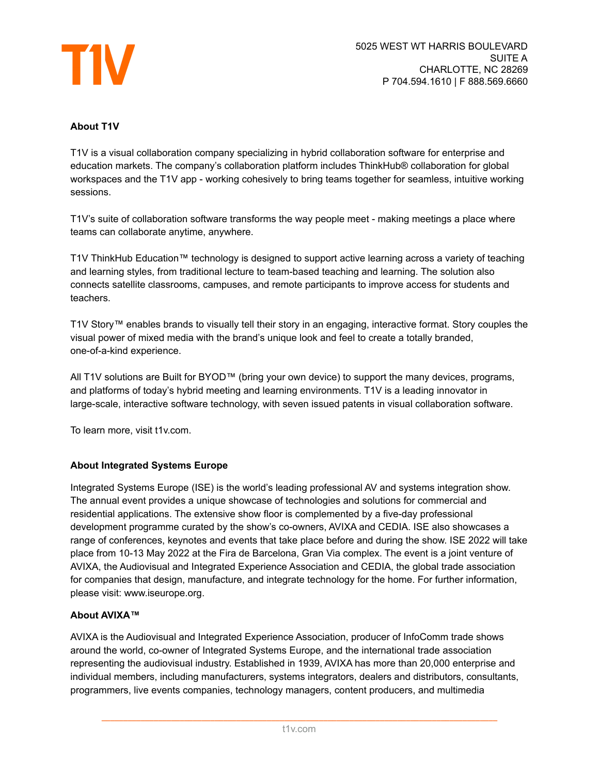

## **About T1V**

T1V is a visual collaboration company specializing in hybrid collaboration software for enterprise and education markets. The company's collaboration platform includes ThinkHub® collaboration for global workspaces and the T1V app - working cohesively to bring teams together for seamless, intuitive working sessions.

T1V's suite of collaboration software transforms the way people meet - making meetings a place where teams can collaborate anytime, anywhere.

T1V ThinkHub Education™ technology is designed to support active learning across a variety of teaching and learning styles, from traditional lecture to team-based teaching and learning. The solution also connects satellite classrooms, campuses, and remote participants to improve access for students and teachers.

T1V Story™ enables brands to visually tell their story in an engaging, interactive format. Story couples the visual power of mixed media with the brand's unique look and feel to create a totally branded, one-of-a-kind experience.

All T1V solutions are Built for BYOD™ (bring your own device) to support the many devices, programs, and platforms of today's hybrid meeting and learning environments. T1V is a leading innovator in large-scale, interactive software technology, with seven issued patents in visual collaboration software.

To learn more, visit t1v.com.

## **About Integrated Systems Europe**

Integrated Systems Europe (ISE) is the world's leading professional AV and systems integration show. The annual event provides a unique showcase of technologies and solutions for commercial and residential applications. The extensive show floor is complemented by a five-day professional development programme curated by the show's co-owners, AVIXA and CEDIA. ISE also showcases a range of conferences, keynotes and events that take place before and during the show. ISE 2022 will take place from 10-13 May 2022 at the Fira de Barcelona, Gran Via complex. The event is a joint venture of AVIXA, the Audiovisual and Integrated Experience Association and CEDIA, the global trade association for companies that design, manufacture, and integrate technology for the home. For further information, please visit: www.iseurope.org.

## **About AVIXA™**

AVIXA is the Audiovisual and Integrated Experience Association, producer of InfoComm trade shows around the world, co-owner of Integrated Systems Europe, and the international trade association representing the audiovisual industry. Established in 1939, AVIXA has more than 20,000 enterprise and individual members, including manufacturers, systems integrators, dealers and distributors, consultants, programmers, live events companies, technology managers, content producers, and multimedia